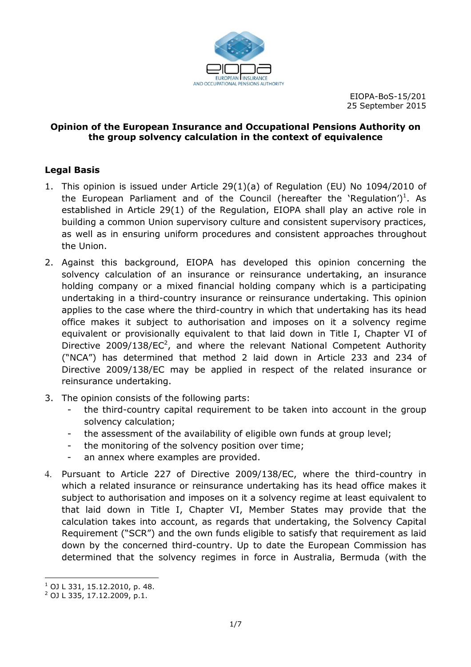

EIOPA BoS 15/201 25 September 2015

#### **Opinion of the European Insurance and Occupational Pensions Authority on the group solvency calculation in the context of equivalence**

## **Legal Basis**

- 1. This opinion is issued under Article 29(1)(a) of Regulation (EU) No 1094/2010 of the European Parliament and of the Council (hereafter the 'Regulation')<sup>1</sup>. As established in Article 29(1) of the Regulation, EIOPA shall play an active role in building a common Union supervisory culture and consistent supervisory practices, as well as in ensuring uniform procedures and consistent approaches throughout the Union.
- 2. Against this background, EIOPA has developed this opinion concerning the solvency calculation of an insurance or reinsurance undertaking, an insurance holding company or a mixed financial holding company which is a participating undertaking in a third-country insurance or reinsurance undertaking. This opinion applies to the case where the third country in which that undertaking has its head office makes it subject to authorisation and imposes on it a solvency regime equivalent or provisionally equivalent to that laid down in Title I, Chapter VI of Directive 2009/138/ $EC^2$ , and where the relevant National Competent Authority ("NCA") has determined that method 2 laid down in Article 233 and 234 of Directive 2009/138/EC may be applied in respect of the related insurance or reinsurance undertaking.
- 3. The opinion consists of the following parts:
	- the third country capital requirement to be taken into account in the group solvency calculation;
	- the assessment of the availability of eligible own funds at group level;
	- the monitoring of the solvency position over time;
	- an annex where examples are provided.
- 4. Pursuant to Article 227 of Directive 2009/138/EC, where the third country in which a related insurance or reinsurance undertaking has its head office makes it subject to authorisation and imposes on it a solvency regime at least equivalent to that laid down in Title I, Chapter VI, Member States may provide that the calculation takes into account, as regards that undertaking, the Solvency Capital Requirement ("SCR") and the own funds eligible to satisfy that requirement as laid down by the concerned third-country. Up to date the European Commission has determined that the solvency regimes in force in Australia, Bermuda (with the

l.

<sup>&</sup>lt;sup>1</sup> OJ L 331, 15.12.2010, p. 48.<br><sup>2</sup> OJ L 335, 17.12.2009, p.1.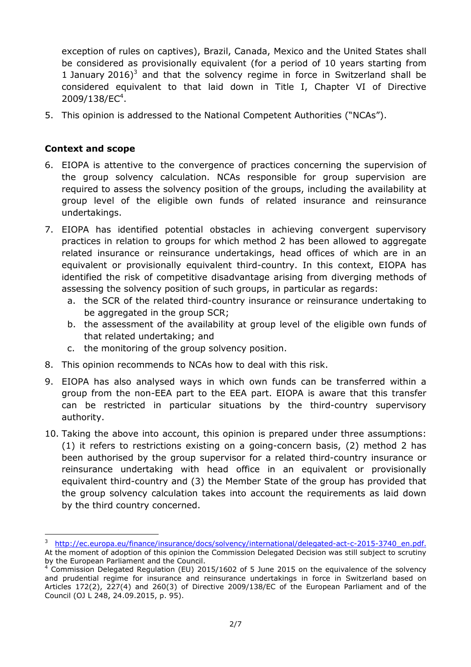exception of rules on captives), Brazil, Canada, Mexico and the United States shall be considered as provisionally equivalent (for a period of 10 years starting from 1 January 2016)<sup>3</sup> and that the solvency regime in force in Switzerland shall be considered equivalent to that laid down in Title I, Chapter VI of Directive 2009/138/EC<sup>4</sup>.

5. This opinion is addressed to the National Competent Authorities ("NCAs").

#### **Context and scope**

 $\overline{a}$ 

- 6. EIOPA is attentive to the convergence of practices concerning the supervision of the group solvency calculation. NCAs responsible for group supervision are required to assess the solvency position of the groups, including the availability at group level of the eligible own funds of related insurance and reinsurance undertakings.
- 7. EIOPA has identified potential obstacles in achieving convergent supervisory practices in relation to groups for which method 2 has been allowed to aggregate related insurance or reinsurance undertakings, head offices of which are in an equivalent or provisionally equivalent third country. In this context, EIOPA has identified the risk of competitive disadvantage arising from diverging methods of assessing the solvency position of such groups, in particular as regards:
	- a. the SCR of the related third country insurance or reinsurance undertaking to be aggregated in the group SCR;
	- b. the assessment of the availability at group level of the eligible own funds of that related undertaking; and
	- c. the monitoring of the group solvency position.
- 8. This opinion recommends to NCAs how to deal with this risk.
- 9. EIOPA has also analysed ways in which own funds can be transferred within a group from the non EEA part to the EEA part. EIOPA is aware that this transfer can be restricted in particular situations by the third country supervisory authority.
- 10. Taking the above into account, this opinion is prepared under three assumptions: (1) it refers to restrictions existing on a going concern basis, (2) method 2 has been authorised by the group supervisor for a related third country insurance or reinsurance undertaking with head office in an equivalent or provisionally equivalent third country and (3) the Member State of the group has provided that the group solvency calculation takes into account the requirements as laid down by the third country concerned.

<sup>&</sup>lt;sup>3</sup> http://ec.europa.eu/finance/insurance/docs/solvency/international/delegated-act-c-2015-3740 en.pdf. At the moment of adoption of this opinion the Commission Delegated Decision was still subject to scrutiny by the European Parliament and the Council.

<sup>&</sup>lt;sup>4</sup> Commission Delegated Regulation (EU) 2015/1602 of 5 June 2015 on the equivalence of the solvency and prudential regime for insurance and reinsurance undertakings in force in Switzerland based on Articles 172(2), 227(4) and 260(3) of Directive 2009/138/EC of the European Parliament and of the Council (OJ L 248, 24.09.2015, p. 95).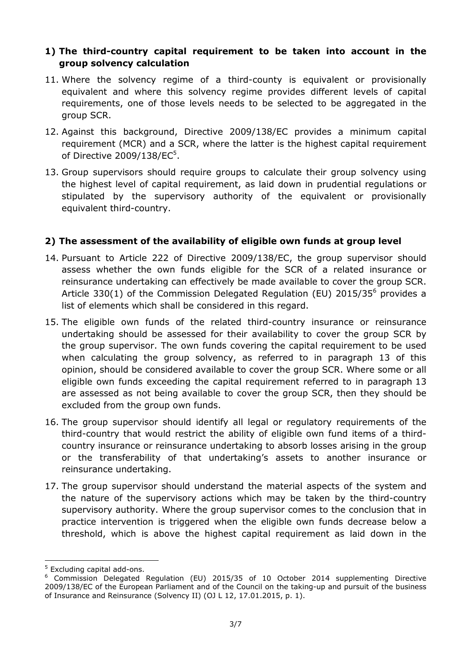### **1)** The third-country capital requirement to be taken into account in the **group solvency calculation**

- 11. Where the solvency regime of a third county is equivalent or provisionally equivalent and where this solvency regime provides different levels of capital requirements, one of those levels needs to be selected to be aggregated in the group SCR.
- 12. Against this background, Directive 2009/138/EC provides a minimum capital requirement (MCR) and a SCR, where the latter is the highest capital requirement of Directive 2009/138/EC<sup>5</sup>.
- 13. Group supervisors should require groups to calculate their group solvency using the highest level of capital requirement, as laid down in prudential regulations or stipulated by the supervisory authority of the equivalent or provisionally equivalent third country.

#### **2) The assessment of the availability of eligible own funds at group level**

- 14. Pursuant to Article 222 of Directive 2009/138/EC, the group supervisor should assess whether the own funds eligible for the SCR of a related insurance or reinsurance undertaking can effectively be made available to cover the group SCR. Article 330(1) of the Commission Delegated Regulation (EU) 2015/35 $^6$  provides a list of elements which shall be considered in this regard.
- 15. The eligible own funds of the related third country insurance or reinsurance undertaking should be assessed for their availability to cover the group SCR by the group supervisor. The own funds covering the capital requirement to be used when calculating the group solvency, as referred to in paragraph 13 of this opinion, should be considered available to cover the group SCR. Where some or all eligible own funds exceeding the capital requirement referred to in paragraph 13 are assessed as not being available to cover the group SCR, then they should be excluded from the group own funds.
- 16. The group supervisor should identify all legal or regulatory requirements of the third country that would restrict the ability of eligible own fund items of a third country insurance or reinsurance undertaking to absorb losses arising in the group or the transferability of that undertaking's assets to another insurance or reinsurance undertaking.
- 17. The group supervisor should understand the material aspects of the system and the nature of the supervisory actions which may be taken by the third country supervisory authority. Where the group supervisor comes to the conclusion that in practice intervention is triggered when the eligible own funds decrease below a threshold, which is above the highest capital requirement as laid down in the

l.

<sup>&</sup>lt;sup>5</sup> Excluding capital add-ons.

<sup>&</sup>lt;sup>6</sup> Commission Delegated Regulation (EU) 2015/35 of 10 October 2014 supplementing Directive 2009/138/EC of the European Parliament and of the Council on the taking up and pursuit of the business of Insurance and Reinsurance (Solvency II) (OJ L 12, 17.01.2015, p. 1).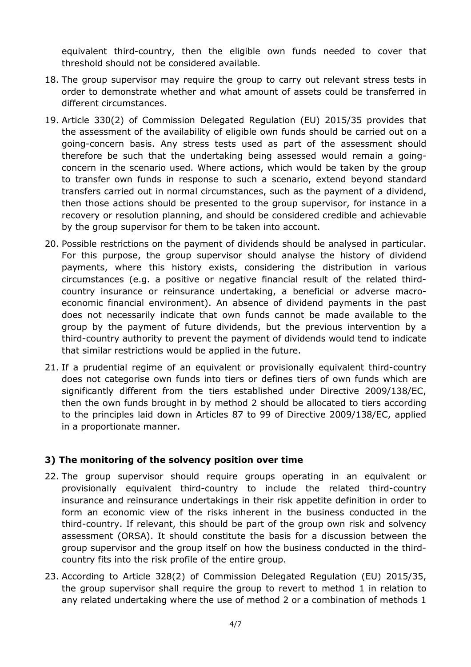equivalent third country, then the eligible own funds needed to cover that threshold should not be considered available.

- 18. The group supervisor may require the group to carry out relevant stress tests in order to demonstrate whether and what amount of assets could be transferred in different circumstances.
- 19. Article 330(2) of Commission Delegated Regulation (EU) 2015/35 provides that the assessment of the availability of eligible own funds should be carried out on a going concern basis. Any stress tests used as part of the assessment should therefore be such that the undertaking being assessed would remain a going concern in the scenario used. Where actions, which would be taken by the group to transfer own funds in response to such a scenario, extend beyond standard transfers carried out in normal circumstances, such as the payment of a dividend, then those actions should be presented to the group supervisor, for instance in a recovery or resolution planning, and should be considered credible and achievable by the group supervisor for them to be taken into account.
- 20. Possible restrictions on the payment of dividends should be analysed in particular. For this purpose, the group supervisor should analyse the history of dividend payments, where this history exists, considering the distribution in various circumstances (e.g. a positive or negative financial result of the related third country insurance or reinsurance undertaking, a beneficial or adverse macro economic financial environment). An absence of dividend payments in the past does not necessarily indicate that own funds cannot be made available to the group by the payment of future dividends, but the previous intervention by a third country authority to prevent the payment of dividends would tend to indicate that similar restrictions would be applied in the future.
- 21. If a prudential regime of an equivalent or provisionally equivalent third country does not categorise own funds into tiers or defines tiers of own funds which are significantly different from the tiers established under Directive 2009/138/EC, then the own funds brought in by method 2 should be allocated to tiers according to the principles laid down in Articles 87 to 99 of Directive 2009/138/EC, applied in a proportionate manner.

## **3) The monitoring of the solvency position over time**

- 22. The group supervisor should require groups operating in an equivalent or provisionally equivalent third country to include the related third country insurance and reinsurance undertakings in their risk appetite definition in order to form an economic view of the risks inherent in the business conducted in the third country. If relevant, this should be part of the group own risk and solvency assessment (ORSA). It should constitute the basis for a discussion between the group supervisor and the group itself on how the business conducted in the third country fits into the risk profile of the entire group.
- 23. According to Article 328(2) of Commission Delegated Regulation (EU) 2015/35, the group supervisor shall require the group to revert to method 1 in relation to any related undertaking where the use of method 2 or a combination of methods 1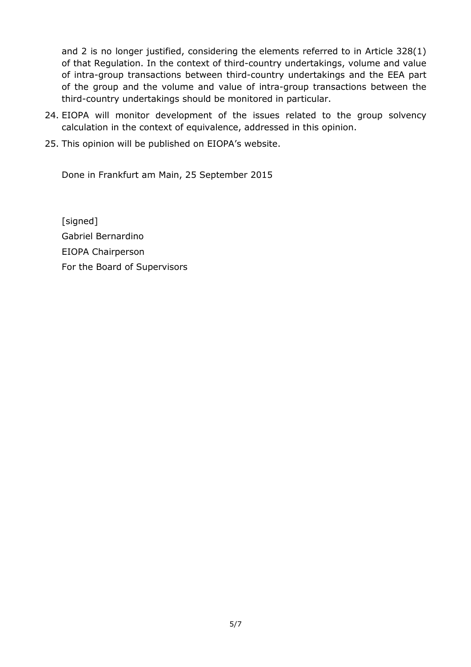and 2 is no longer justified, considering the elements referred to in Article 328(1) of that Regulation. In the context of third country undertakings, volume and value of intra group transactions between third country undertakings and the EEA part of the group and the volume and value of intra group transactions between the third country undertakings should be monitored in particular.

- 24. EIOPA will monitor development of the issues related to the group solvency calculation in the context of equivalence, addressed in this opinion.
- 25. This opinion will be published on EIOPA's website.

Done in Frankfurt am Main, 25 September 2015

[signed] Gabriel Bernardino EIOPA Chairperson For the Board of Supervisors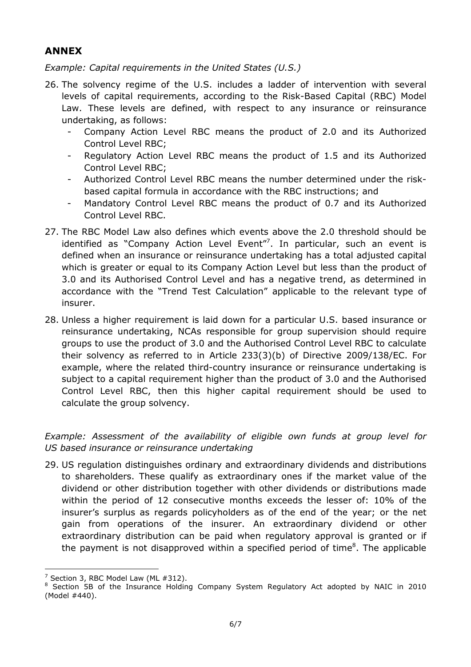# **ANNEX**

*Example: Capital requirements in the United States (U.S.)* 

- 26. The solvency regime of the U.S. includes a ladder of intervention with several levels of capital requirements, according to the Risk Based Capital (RBC) Model Law. These levels are defined, with respect to any insurance or reinsurance undertaking, as follows:
	- - Company Action Level RBC means the product of 2.0 and its Authorized Control Level RBC;
	- - Regulatory Action Level RBC means the product of 1.5 and its Authorized Control Level RBC;
	- $\sim$   $-$  Authorized Control Level RBC means the number determined under the risk based capital formula in accordance with the RBC instructions; and
	- - Mandatory Control Level RBC means the product of 0.7 and its Authorized Control Level RBC.
- 27. The RBC Model Law also defines which events above the 2.0 threshold should be identified as "Company Action Level Event"<sup>7</sup>. In particular, such an event is defined when an insurance or reinsurance undertaking has a total adjusted capital which is greater or equal to its Company Action Level but less than the product of 3.0 and its Authorised Control Level and has a negative trend, as determined in accordance with the "Trend Test Calculation" applicable to the relevant type of insurer.
- 28. Unless a higher requirement is laid down for a particular U.S. based insurance or reinsurance undertaking, NCAs responsible for group supervision should require groups to use the product of 3.0 and the Authorised Control Level RBC to calculate their solvency as referred to in Article 233(3)(b) of Directive 2009/138/EC. For example, where the related third-country insurance or reinsurance undertaking is subject to a capital requirement higher than the product of 3.0 and the Authorised Control Level RBC, then this higher capital requirement should be used to calculate the group solvency.

*Example: Assessment of the availability of eligible own funds at group level for US based insurance or reinsurance undertaking* 

29. US regulation distinguishes ordinary and extraordinary dividends and distributions to shareholders. These qualify as extraordinary ones if the market value of the dividend or other distribution together with other dividends or distributions made within the period of 12 consecutive months exceeds the lesser of: 10% of the insurer's surplus as regards policyholders as of the end of the year; or the net gain from operations of the insurer. An extraordinary dividend or other extraordinary distribution can be paid when regulatory approval is granted or if the payment is not disapproved within a specified period of time<sup>8</sup>. The applicable

l.

 $7$  Section 3, RBC Model Law (ML  $\#312$ ).

<sup>&</sup>lt;sup>8</sup> Section 5B of the Insurance Holding Company System Regulatory Act adopted by NAIC in 2010 (Model #440).